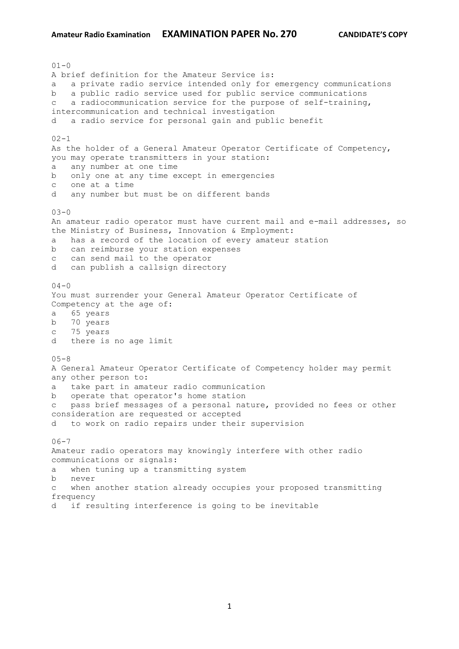$01 - 0$ A brief definition for the Amateur Service is: a a private radio service intended only for emergency communications b a public radio service used for public service communications c a radiocommunication service for the purpose of self-training, intercommunication and technical investigation d a radio service for personal gain and public benefit  $02 - 1$ As the holder of a General Amateur Operator Certificate of Competency, you may operate transmitters in your station: a any number at one time b only one at any time except in emergencies c one at a time d any number but must be on different bands  $03 - 0$ An amateur radio operator must have current mail and e-mail addresses, so the Ministry of Business, Innovation & Employment: a has a record of the location of every amateur station b can reimburse your station expenses c can send mail to the operator d can publish a callsign directory  $04 - 0$ You must surrender your General Amateur Operator Certificate of Competency at the age of: a 65 years b 70 years c 75 years d there is no age limit  $05 - 8$ A General Amateur Operator Certificate of Competency holder may permit any other person to: a take part in amateur radio communication b operate that operator's home station c pass brief messages of a personal nature, provided no fees or other consideration are requested or accepted d to work on radio repairs under their supervision  $06 - 7$ Amateur radio operators may knowingly interfere with other radio communications or signals: a when tuning up a transmitting system b never c when another station already occupies your proposed transmitting frequency d if resulting interference is going to be inevitable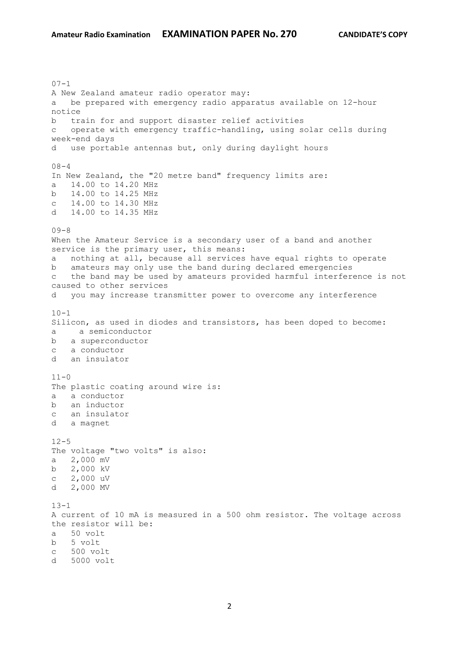$07 - 1$ A New Zealand amateur radio operator may: a be prepared with emergency radio apparatus available on 12-hour notice b train for and support disaster relief activities c operate with emergency traffic-handling, using solar cells during week-end days d use portable antennas but, only during daylight hours  $08 - 4$ In New Zealand, the "20 metre band" frequency limits are: a 14.00 to 14.20 MHz b 14.00 to 14.25 MHz c 14.00 to 14.30 MHz d 14.00 to 14.35 MHz  $09 - 8$ When the Amateur Service is a secondary user of a band and another service is the primary user, this means: a nothing at all, because all services have equal rights to operate b amateurs may only use the band during declared emergencies c the band may be used by amateurs provided harmful interference is not caused to other services d you may increase transmitter power to overcome any interference  $10 - 1$ Silicon, as used in diodes and transistors, has been doped to become: a a semiconductor b a superconductor c a conductor d an insulator  $11 - 0$ The plastic coating around wire is: a a conductor b an inductor c an insulator d a magnet  $12 - 5$ The voltage "two volts" is also: a 2,000 mV b 2,000 kV c 2,000 uV d 2,000 MV  $13 - 1$ A current of 10 mA is measured in a 500 ohm resistor. The voltage across the resistor will be: a 50 volt b 5 volt c 500 volt d 5000 volt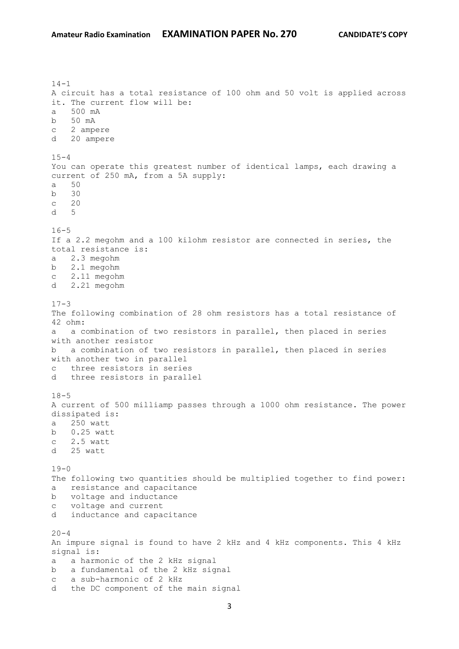$14-1$ A circuit has a total resistance of 100 ohm and 50 volt is applied across it. The current flow will be: a 500 mA b 50 mA c 2 ampere d 20 ampere  $15 - 4$ You can operate this greatest number of identical lamps, each drawing a current of 250 mA, from a 5A supply: a 50 b 30 c 20 d 5  $16 - 5$ If a 2.2 megohm and a 100 kilohm resistor are connected in series, the total resistance is: a 2.3 megohm b 2.1 megohm c 2.11 megohm d 2.21 megohm  $17-3$ The following combination of 28 ohm resistors has a total resistance of 42 ohm: a a combination of two resistors in parallel, then placed in series with another resistor b a combination of two resistors in parallel, then placed in series with another two in parallel c three resistors in series d three resistors in parallel  $18 - 5$ A current of 500 milliamp passes through a 1000 ohm resistance. The power dissipated is: a 250 watt b 0.25 watt c 2.5 watt d 25 watt  $19-0$ The following two quantities should be multiplied together to find power: a resistance and capacitance b voltage and inductance c voltage and current d inductance and capacitance  $20 - 4$ An impure signal is found to have 2 kHz and 4 kHz components. This 4 kHz signal is: a a harmonic of the 2 kHz signal b a fundamental of the 2 kHz signal c a sub-harmonic of 2 kHz d the DC component of the main signal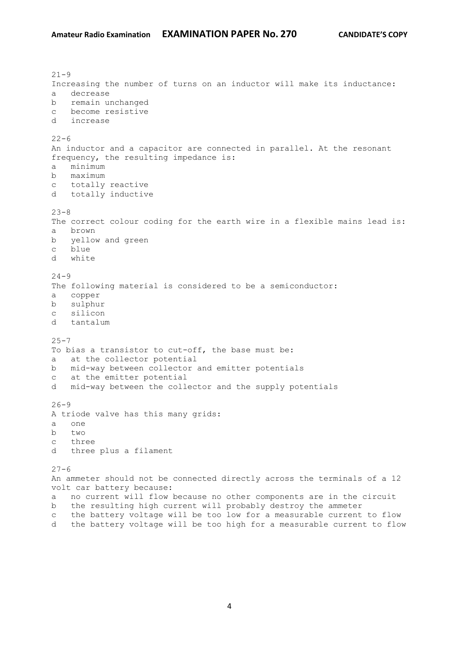$21 - 9$ Increasing the number of turns on an inductor will make its inductance: a decrease b remain unchanged c become resistive d increase  $22 - 6$ An inductor and a capacitor are connected in parallel. At the resonant frequency, the resulting impedance is: a minimum b maximum c totally reactive d totally inductive  $23 - 8$ The correct colour coding for the earth wire in a flexible mains lead is: a brown b yellow and green c blue d white  $24 - 9$ The following material is considered to be a semiconductor: a copper b sulphur c silicon d tantalum  $25 - 7$ To bias a transistor to cut-off, the base must be: a at the collector potential b mid-way between collector and emitter potentials c at the emitter potential d mid-way between the collector and the supply potentials  $26 - 9$ A triode valve has this many grids: a one b two c three d three plus a filament  $27 - 6$ An ammeter should not be connected directly across the terminals of a 12 volt car battery because: a no current will flow because no other components are in the circuit b the resulting high current will probably destroy the ammeter c the battery voltage will be too low for a measurable current to flow d the battery voltage will be too high for a measurable current to flow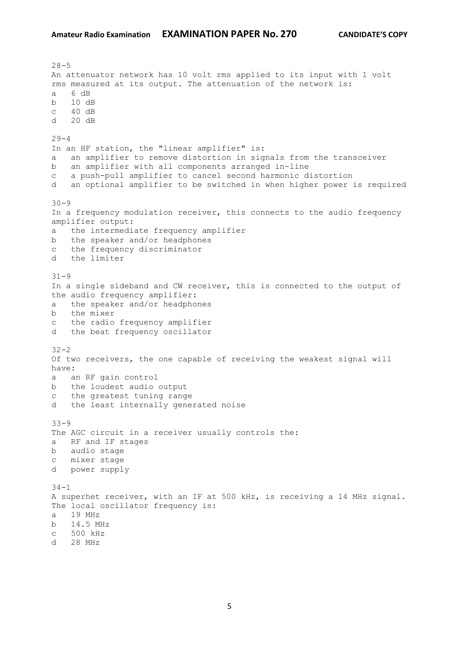$28 - 5$ An attenuator network has 10 volt rms applied to its input with 1 volt rms measured at its output. The attenuation of the network is: a 6 dB b 10 dB c 40 dB d 20 dB  $29 - 4$ In an HF station, the "linear amplifier" is: a an amplifier to remove distortion in signals from the transceiver b an amplifier with all components arranged in-line c a push-pull amplifier to cancel second harmonic distortion d an optional amplifier to be switched in when higher power is required  $30 - 9$ In a frequency modulation receiver, this connects to the audio frequency amplifier output: a the intermediate frequency amplifier b the speaker and/or headphones c the frequency discriminator d the limiter 31-9 In a single sideband and CW receiver, this is connected to the output of the audio frequency amplifier: a the speaker and/or headphones b the mixer c the radio frequency amplifier d the beat frequency oscillator 32-2 Of two receivers, the one capable of receiving the weakest signal will have: a an RF gain control b the loudest audio output c the greatest tuning range d the least internally generated noise 33-9 The AGC circuit in a receiver usually controls the: a RF and IF stages b audio stage c mixer stage d power supply  $34 - 1$ A superhet receiver, with an IF at 500 kHz, is receiving a 14 MHz signal. The local oscillator frequency is: a 19 MHz b 14.5 MHz c 500 kHz d 28 MHz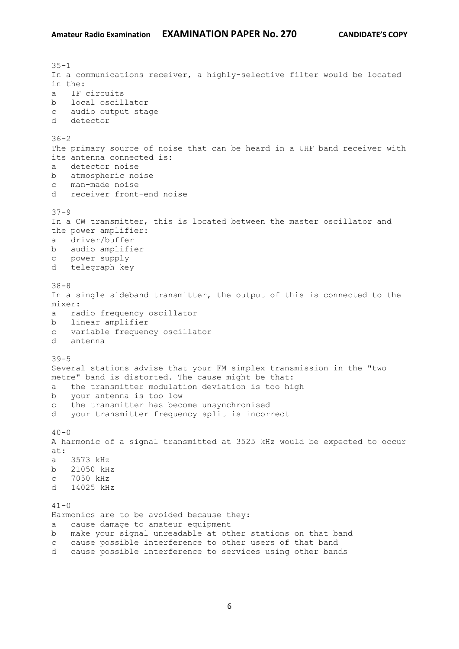$35 - 1$ In a communications receiver, a highly-selective filter would be located in the: a IF circuits b local oscillator c audio output stage d detector  $36 - 2$ The primary source of noise that can be heard in a UHF band receiver with its antenna connected is: a detector noise b atmospheric noise c man-made noise d receiver front-end noise 37-9 In a CW transmitter, this is located between the master oscillator and the power amplifier: a driver/buffer b audio amplifier c power supply d telegraph key 38-8 In a single sideband transmitter, the output of this is connected to the mixer: a radio frequency oscillator b linear amplifier c variable frequency oscillator d antenna 39-5 Several stations advise that your FM simplex transmission in the "two metre" band is distorted. The cause might be that: a the transmitter modulation deviation is too high b your antenna is too low c the transmitter has become unsynchronised d your transmitter frequency split is incorrect  $40 - 0$ A harmonic of a signal transmitted at 3525 kHz would be expected to occur at: a 3573 kHz b 21050 kHz c 7050 kHz d 14025 kHz  $41 - 0$ Harmonics are to be avoided because they: a cause damage to amateur equipment b make your signal unreadable at other stations on that band c cause possible interference to other users of that band d cause possible interference to services using other bands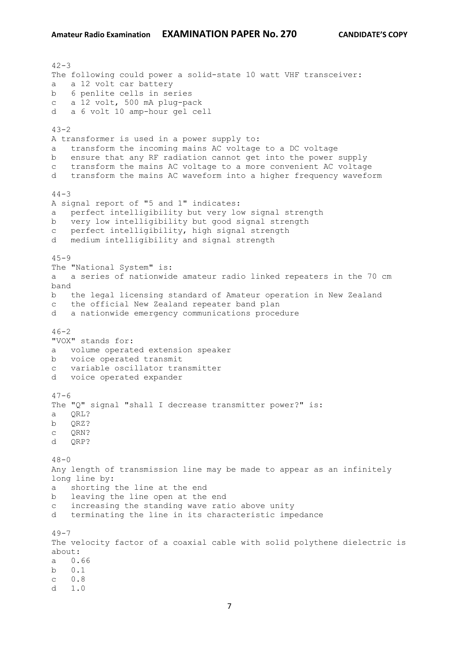$42 - 3$ The following could power a solid-state 10 watt VHF transceiver: a a 12 volt car battery b 6 penlite cells in series c a 12 volt, 500 mA plug-pack d a 6 volt 10 amp-hour gel cell  $43 - 2$ A transformer is used in a power supply to: a transform the incoming mains AC voltage to a DC voltage b ensure that any RF radiation cannot get into the power supply c transform the mains AC voltage to a more convenient AC voltage d transform the mains AC waveform into a higher frequency waveform  $44 - 3$ A signal report of "5 and 1" indicates: a perfect intelligibility but very low signal strength b very low intelligibility but good signal strength c perfect intelligibility, high signal strength d medium intelligibility and signal strength  $45 - 9$ The "National System" is: a a series of nationwide amateur radio linked repeaters in the 70 cm band b the legal licensing standard of Amateur operation in New Zealand c the official New Zealand repeater band plan d a nationwide emergency communications procedure  $46 - 2$ "VOX" stands for: a volume operated extension speaker b voice operated transmit c variable oscillator transmitter d voice operated expander  $47 - 6$ The "Q" signal "shall I decrease transmitter power?" is: a QRL? b QRZ? c QRN? d ORP?  $48 - 0$ Any length of transmission line may be made to appear as an infinitely long line by: a shorting the line at the end b leaving the line open at the end c increasing the standing wave ratio above unity d terminating the line in its characteristic impedance  $49 - 7$ The velocity factor of a coaxial cable with solid polythene dielectric is about: a 0.66 b 0.1 c 0.8  $d = 1.0$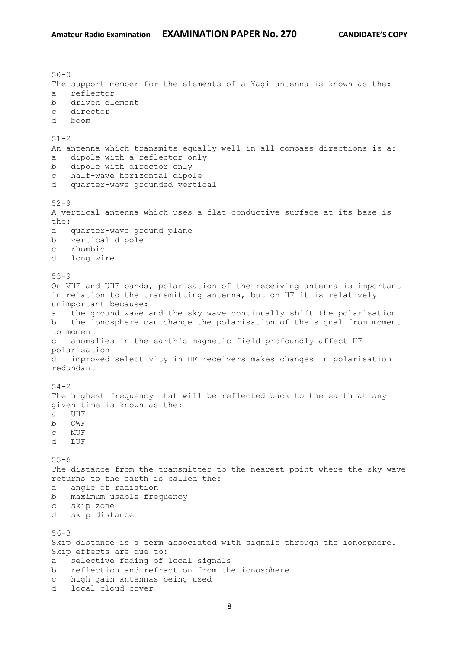$50 - 0$ The support member for the elements of a Yagi antenna is known as the: a reflector b driven element c director d boom  $51 - 2$ An antenna which transmits equally well in all compass directions is a: a dipole with a reflector only b dipole with director only c half-wave horizontal dipole d quarter-wave grounded vertical 52-9 A vertical antenna which uses a flat conductive surface at its base is the: a quarter-wave ground plane b vertical dipole c rhombic d long wire 53-9 On VHF and UHF bands, polarisation of the receiving antenna is important in relation to the transmitting antenna, but on HF it is relatively unimportant because: a the ground wave and the sky wave continually shift the polarisation b the ionosphere can change the polarisation of the signal from moment to moment c anomalies in the earth's magnetic field profoundly affect HF polarisation d improved selectivity in HF receivers makes changes in polarisation redundant  $54 - 2$ The highest frequency that will be reflected back to the earth at any given time is known as the: a UHF b OWF c MUF d LUF  $55 - 6$ The distance from the transmitter to the nearest point where the sky wave returns to the earth is called the: a angle of radiation b maximum usable frequency c skip zone d skip distance 56-3 Skip distance is a term associated with signals through the ionosphere. Skip effects are due to: a selective fading of local signals b reflection and refraction from the ionosphere c high gain antennas being used d local cloud cover